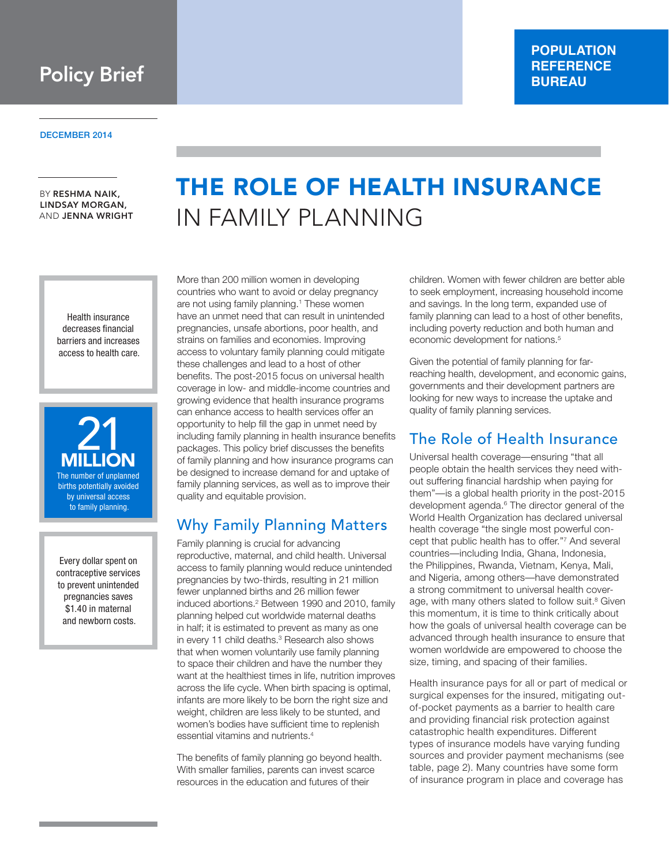**Policy Brief** 

DECEMBER 2014

BY RESHMA NAIK, LINDSAY MORGAN, AND JENNA WRIGHT

> Health insurance decreases financial barriers and increases access to health care.



Every dollar spent on contraceptive services to prevent unintended pregnancies saves \$1.40 in maternal and newborn costs.

# THE ROLE OF HEALTH INSURANCE IN FAMILY PLANNING

More than 200 million women in developing countries who want to avoid or delay pregnancy are not using family planning.<sup>1</sup> These women have an unmet need that can result in unintended pregnancies, unsafe abortions, poor health, and strains on families and economies. Improving access to voluntary family planning could mitigate these challenges and lead to a host of other benefits. The post-2015 focus on universal health coverage in low- and middle-income countries and growing evidence that health insurance programs can enhance access to health services offer an opportunity to help fill the gap in unmet need by including family planning in health insurance benefits packages. This policy brief discusses the benefits of family planning and how insurance programs can be designed to increase demand for and uptake of family planning services, as well as to improve their quality and equitable provision.

### Why Family Planning Matters

Family planning is crucial for advancing reproductive, maternal, and child health. Universal access to family planning would reduce unintended pregnancies by two-thirds, resulting in 21 million fewer unplanned births and 26 million fewer induced abortions.<sup>2</sup> Between 1990 and 2010, family planning helped cut worldwide maternal deaths in half; it is estimated to prevent as many as one in every 11 child deaths.<sup>3</sup> Research also shows that when women voluntarily use family planning to space their children and have the number they want at the healthiest times in life, nutrition improves across the life cycle. When birth spacing is optimal, infants are more likely to be born the right size and weight, children are less likely to be stunted, and women's bodies have sufficient time to replenish essential vitamins and nutrients.4

The benefits of family planning go beyond health. With smaller families, parents can invest scarce resources in the education and futures of their

children. Women with fewer children are better able to seek employment, increasing household income and savings. In the long term, expanded use of family planning can lead to a host of other benefits, including poverty reduction and both human and economic development for nations.<sup>5</sup>

**POPULATION REFERENCE BUREAU**

Given the potential of family planning for farreaching health, development, and economic gains, governments and their development partners are looking for new ways to increase the uptake and quality of family planning services.

### The Role of Health Insurance

Universal health coverage—ensuring "that all people obtain the health services they need without suffering financial hardship when paying for them"—is a global health priority in the post-2015 development agenda.<sup>6</sup> The director general of the World Health Organization has declared universal health coverage "the single most powerful concept that public health has to offer."7 And several countries—including India, Ghana, Indonesia, the Philippines, Rwanda, Vietnam, Kenya, Mali, and Nigeria, among others—have demonstrated a strong commitment to universal health coverage, with many others slated to follow suit.<sup>8</sup> Given this momentum, it is time to think critically about how the goals of universal health coverage can be advanced through health insurance to ensure that women worldwide are empowered to choose the size, timing, and spacing of their families.

Health insurance pays for all or part of medical or surgical expenses for the insured, mitigating outof-pocket payments as a barrier to health care and providing financial risk protection against catastrophic health expenditures. Different types of insurance models have varying funding sources and provider payment mechanisms (see table, page 2). Many countries have some form of insurance program in place and coverage has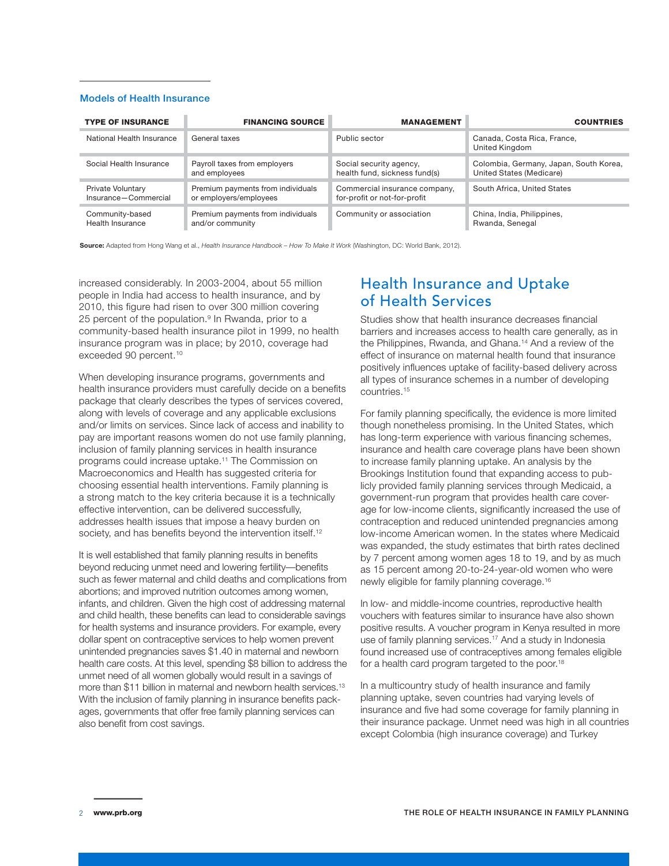#### Models of Health Insurance

| <b>TYPE OF INSURANCE</b>  | <b>FINANCING SOURCE</b>           | <b>MANAGEMENT</b>             | <b>COUNTRIES</b>                              |
|---------------------------|-----------------------------------|-------------------------------|-----------------------------------------------|
| National Health Insurance | General taxes                     | Public sector                 | Canada, Costa Rica, France,<br>United Kingdom |
| Social Health Insurance   | Payroll taxes from employers      | Social security agency,       | Colombia, Germany, Japan, South Korea,        |
|                           | and employees                     | health fund, sickness fund(s) | United States (Medicare)                      |
| Private Voluntary         | Premium payments from individuals | Commercial insurance company, | South Africa, United States                   |
| Insurance-Commercial      | or employers/employees            | for-profit or not-for-profit  |                                               |
| Community-based           | Premium payments from individuals | Community or association      | China, India, Philippines,                    |
| Health Insurance          | and/or community                  |                               | Rwanda, Senegal                               |

**Source:** Adapted from Hong Wang et al., *Health Insurance Handbook – How To Make It Work* (Washington, DC: World Bank, 2012).

increased considerably. In 2003-2004, about 55 million people in India had access to health insurance, and by 2010, this figure had risen to over 300 million covering 25 percent of the population.<sup>9</sup> In Rwanda, prior to a community-based health insurance pilot in 1999, no health insurance program was in place; by 2010, coverage had exceeded 90 percent.<sup>10</sup>

When developing insurance programs, governments and health insurance providers must carefully decide on a benefits package that clearly describes the types of services covered, along with levels of coverage and any applicable exclusions and/or limits on services. Since lack of access and inability to pay are important reasons women do not use family planning, inclusion of family planning services in health insurance programs could increase uptake.<sup>11</sup> The Commission on Macroeconomics and Health has suggested criteria for choosing essential health interventions. Family planning is a strong match to the key criteria because it is a technically effective intervention, can be delivered successfully, addresses health issues that impose a heavy burden on society, and has benefits beyond the intervention itself.<sup>12</sup>

It is well established that family planning results in benefits beyond reducing unmet need and lowering fertility—benefits such as fewer maternal and child deaths and complications from abortions; and improved nutrition outcomes among women, infants, and children. Given the high cost of addressing maternal and child health, these benefits can lead to considerable savings for health systems and insurance providers. For example, every dollar spent on contraceptive services to help women prevent unintended pregnancies saves \$1.40 in maternal and newborn health care costs. At this level, spending \$8 billion to address the unmet need of all women globally would result in a savings of more than \$11 billion in maternal and newborn health services.<sup>13</sup> With the inclusion of family planning in insurance benefits packages, governments that offer free family planning services can also benefit from cost savings.

### Health Insurance and Uptake of Health Services

Studies show that health insurance decreases financial barriers and increases access to health care generally, as in the Philippines, Rwanda, and Ghana.14 And a review of the effect of insurance on maternal health found that insurance positively influences uptake of facility-based delivery across all types of insurance schemes in a number of developing countries.15

For family planning specifically, the evidence is more limited though nonetheless promising. In the United States, which has long-term experience with various financing schemes, insurance and health care coverage plans have been shown to increase family planning uptake. An analysis by the Brookings Institution found that expanding access to publicly provided family planning services through Medicaid, a government-run program that provides health care coverage for low-income clients, significantly increased the use of contraception and reduced unintended pregnancies among low-income American women. In the states where Medicaid was expanded, the study estimates that birth rates declined by 7 percent among women ages 18 to 19, and by as much as 15 percent among 20-to-24-year-old women who were newly eligible for family planning coverage.16

In low- and middle-income countries, reproductive health vouchers with features similar to insurance have also shown positive results. A voucher program in Kenya resulted in more use of family planning services.<sup>17</sup> And a study in Indonesia found increased use of contraceptives among females eligible for a health card program targeted to the poor.<sup>18</sup>

In a multicountry study of health insurance and family planning uptake, seven countries had varying levels of insurance and five had some coverage for family planning in their insurance package. Unmet need was high in all countries except Colombia (high insurance coverage) and Turkey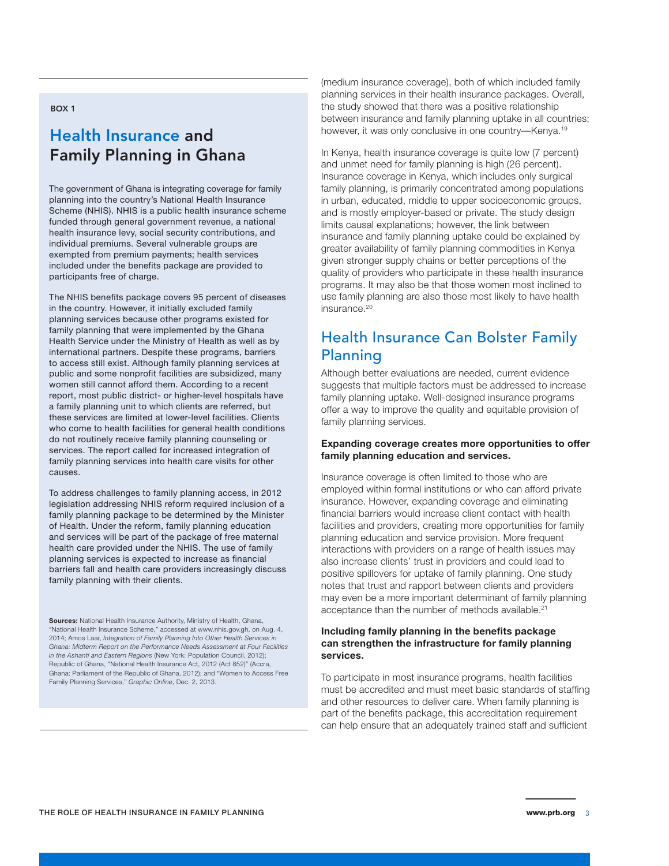#### BOX 1

# Health Insurance and Family Planning in Ghana

The government of Ghana is integrating coverage for family planning into the country's National Health Insurance Scheme (NHIS). NHIS is a public health insurance scheme funded through general government revenue, a national health insurance levy, social security contributions, and individual premiums. Several vulnerable groups are exempted from premium payments; health services included under the benefits package are provided to participants free of charge.

The NHIS benefits package covers 95 percent of diseases in the country. However, it initially excluded family planning services because other programs existed for family planning that were implemented by the Ghana Health Service under the Ministry of Health as well as by international partners. Despite these programs, barriers to access still exist. Although family planning services at public and some nonprofit facilities are subsidized, many women still cannot afford them. According to a recent report, most public district- or higher-level hospitals have a family planning unit to which clients are referred, but these services are limited at lower-level facilities. Clients who come to health facilities for general health conditions do not routinely receive family planning counseling or services. The report called for increased integration of family planning services into health care visits for other causes.

To address challenges to family planning access, in 2012 legislation addressing NHIS reform required inclusion of a family planning package to be determined by the Minister of Health. Under the reform, family planning education and services will be part of the package of free maternal health care provided under the NHIS. The use of family planning services is expected to increase as financial barriers fall and health care providers increasingly discuss family planning with their clients.

**Sources:** National Health Insurance Authority, Ministry of Health, Ghana, "National Health Insurance Scheme," accessed at www.nhis.gov.gh, on Aug. 4, 2014; Amos Laar, *Integration of Family Planning Into Other Health Services in Ghana: Midterm Report on the Performance Needs Assessment at Four Facilities in the Ashanti and Eastern Regions* (New York: Population Council, 2012); Republic of Ghana, "National Health Insurance Act, 2012 (Act 852)" (Accra, Ghana: Parliament of the Republic of Ghana, 2012); and "Women to Access Free Family Planning Services," *Graphic Online*, Dec. 2, 2013.

(medium insurance coverage), both of which included family planning services in their health insurance packages. Overall, the study showed that there was a positive relationship between insurance and family planning uptake in all countries; however, it was only conclusive in one country-Kenya.<sup>19</sup>

In Kenya, health insurance coverage is quite low (7 percent) and unmet need for family planning is high (26 percent). Insurance coverage in Kenya, which includes only surgical family planning, is primarily concentrated among populations in urban, educated, middle to upper socioeconomic groups, and is mostly employer-based or private. The study design limits causal explanations; however, the link between insurance and family planning uptake could be explained by greater availability of family planning commodities in Kenya given stronger supply chains or better perceptions of the quality of providers who participate in these health insurance programs. It may also be that those women most inclined to use family planning are also those most likely to have health insurance.<sup>20</sup>

### Health Insurance Can Bolster Family Planning

Although better evaluations are needed, current evidence suggests that multiple factors must be addressed to increase family planning uptake. Well-designed insurance programs offer a way to improve the quality and equitable provision of family planning services.

#### **Expanding coverage creates more opportunities to offer family planning education and services.**

Insurance coverage is often limited to those who are employed within formal institutions or who can afford private insurance. However, expanding coverage and eliminating financial barriers would increase client contact with health facilities and providers, creating more opportunities for family planning education and service provision. More frequent interactions with providers on a range of health issues may also increase clients' trust in providers and could lead to positive spillovers for uptake of family planning. One study notes that trust and rapport between clients and providers may even be a more important determinant of family planning acceptance than the number of methods available.<sup>21</sup>

#### **Including family planning in the benefits package can strengthen the infrastructure for family planning services.**

To participate in most insurance programs, health facilities must be accredited and must meet basic standards of staffing and other resources to deliver care. When family planning is part of the benefits package, this accreditation requirement can help ensure that an adequately trained staff and sufficient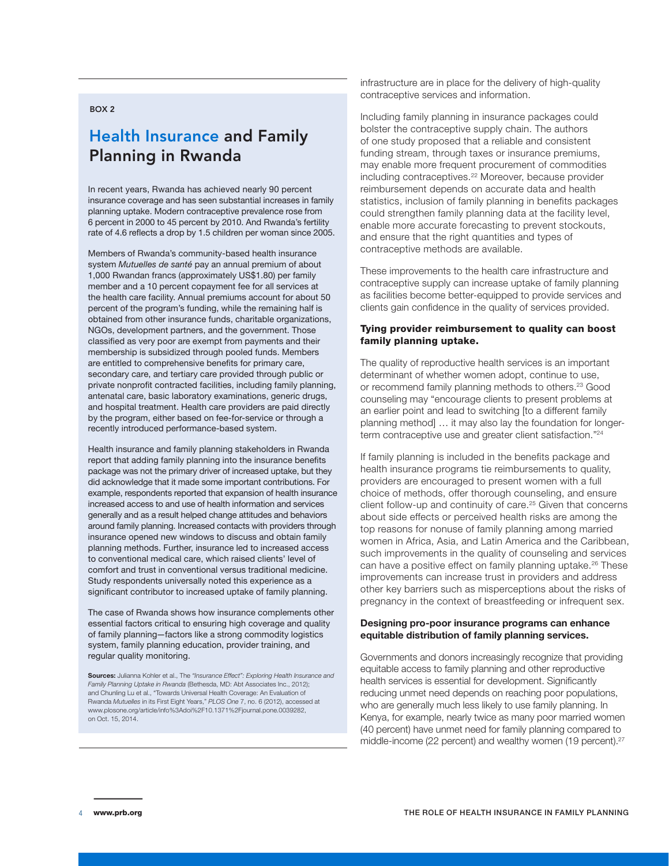#### BOX 2

# Health Insurance and Family Planning in Rwanda

In recent years, Rwanda has achieved nearly 90 percent insurance coverage and has seen substantial increases in family planning uptake. Modern contraceptive prevalence rose from 6 percent in 2000 to 45 percent by 2010. And Rwanda's fertility rate of 4.6 reflects a drop by 1.5 children per woman since 2005.

Members of Rwanda's community-based health insurance system *Mutuelles de santé* pay an annual premium of about 1,000 Rwandan francs (approximately US\$1.80) per family member and a 10 percent copayment fee for all services at the health care facility. Annual premiums account for about 50 percent of the program's funding, while the remaining half is obtained from other insurance funds, charitable organizations, NGOs, development partners, and the government. Those classified as very poor are exempt from payments and their membership is subsidized through pooled funds. Members are entitled to comprehensive benefits for primary care, secondary care, and tertiary care provided through public or private nonprofit contracted facilities, including family planning, antenatal care, basic laboratory examinations, generic drugs, and hospital treatment. Health care providers are paid directly by the program, either based on fee-for-service or through a recently introduced performance-based system.

Health insurance and family planning stakeholders in Rwanda report that adding family planning into the insurance benefits package was not the primary driver of increased uptake, but they did acknowledge that it made some important contributions. For example, respondents reported that expansion of health insurance increased access to and use of health information and services generally and as a result helped change attitudes and behaviors around family planning. Increased contacts with providers through insurance opened new windows to discuss and obtain family planning methods. Further, insurance led to increased access to conventional medical care, which raised clients' level of comfort and trust in conventional versus traditional medicine. Study respondents universally noted this experience as a significant contributor to increased uptake of family planning.

The case of Rwanda shows how insurance complements other essential factors critical to ensuring high coverage and quality of family planning—factors like a strong commodity logistics system, family planning education, provider training, and regular quality monitoring.

**Sources:** Julianna Kohler et al., The *"Insurance Effect": Exploring Health Insurance and Family Planning Uptake in Rwanda* (Bethesda, MD: Abt Associates Inc., 2012); and Chunling Lu et al., "Towards Universal Health Coverage: An Evaluation of Rwanda *Mutuelles* in its First Eight Years," *PLOS One* 7, no. 6 (2012), accessed at www.plosone.org/article/info%3Adoi%2F10.1371%2Fjournal.pone.0039282, on Oct. 15, 2014.

infrastructure are in place for the delivery of high-quality contraceptive services and information.

Including family planning in insurance packages could bolster the contraceptive supply chain. The authors of one study proposed that a reliable and consistent funding stream, through taxes or insurance premiums, may enable more frequent procurement of commodities including contraceptives.<sup>22</sup> Moreover, because provider reimbursement depends on accurate data and health statistics, inclusion of family planning in benefits packages could strengthen family planning data at the facility level, enable more accurate forecasting to prevent stockouts, and ensure that the right quantities and types of contraceptive methods are available.

These improvements to the health care infrastructure and contraceptive supply can increase uptake of family planning as facilities become better-equipped to provide services and clients gain confidence in the quality of services provided.

#### Tying provider reimbursement to quality can boost family planning uptake.

The quality of reproductive health services is an important determinant of whether women adopt, continue to use, or recommend family planning methods to others.<sup>23</sup> Good counseling may "encourage clients to present problems at an earlier point and lead to switching [to a different family planning method] … it may also lay the foundation for longerterm contraceptive use and greater client satisfaction."<sup>24</sup>

If family planning is included in the benefits package and health insurance programs tie reimbursements to quality, providers are encouraged to present women with a full choice of methods, offer thorough counseling, and ensure client follow-up and continuity of care.<sup>25</sup> Given that concerns about side effects or perceived health risks are among the top reasons for nonuse of family planning among married women in Africa, Asia, and Latin America and the Caribbean, such improvements in the quality of counseling and services can have a positive effect on family planning uptake.<sup>26</sup> These improvements can increase trust in providers and address other key barriers such as misperceptions about the risks of pregnancy in the context of breastfeeding or infrequent sex.

#### **Designing pro-poor insurance programs can enhance equitable distribution of family planning services.**

Governments and donors increasingly recognize that providing equitable access to family planning and other reproductive health services is essential for development. Significantly reducing unmet need depends on reaching poor populations, who are generally much less likely to use family planning. In Kenya, for example, nearly twice as many poor married women (40 percent) have unmet need for family planning compared to middle-income (22 percent) and wealthy women (19 percent).<sup>27</sup>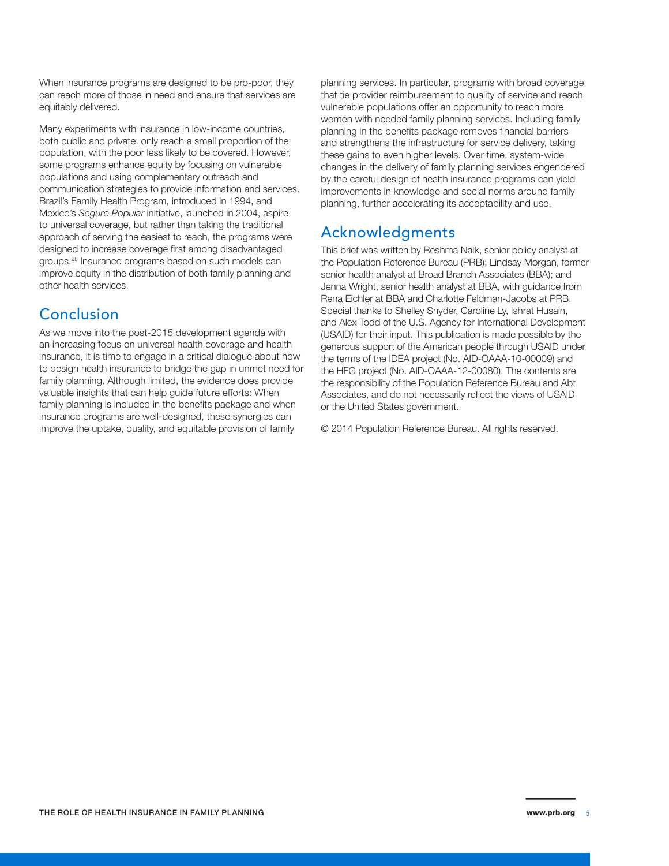When insurance programs are designed to be pro-poor, they can reach more of those in need and ensure that services are equitably delivered.

Many experiments with insurance in low-income countries, both public and private, only reach a small proportion of the population, with the poor less likely to be covered. However, some programs enhance equity by focusing on vulnerable populations and using complementary outreach and communication strategies to provide information and services. Brazil's Family Health Program, introduced in 1994, and Mexico's *Seguro Popular* initiative, launched in 2004, aspire to universal coverage, but rather than taking the traditional approach of serving the easiest to reach, the programs were designed to increase coverage first among disadvantaged groups.28 Insurance programs based on such models can improve equity in the distribution of both family planning and other health services.

### Conclusion

As we move into the post-2015 development agenda with an increasing focus on universal health coverage and health insurance, it is time to engage in a critical dialogue about how to design health insurance to bridge the gap in unmet need for family planning. Although limited, the evidence does provide valuable insights that can help guide future efforts: When family planning is included in the benefits package and when insurance programs are well-designed, these synergies can improve the uptake, quality, and equitable provision of family

planning services. In particular, programs with broad coverage that tie provider reimbursement to quality of service and reach vulnerable populations offer an opportunity to reach more women with needed family planning services. Including family planning in the benefits package removes financial barriers and strengthens the infrastructure for service delivery, taking these gains to even higher levels. Over time, system-wide changes in the delivery of family planning services engendered by the careful design of health insurance programs can yield improvements in knowledge and social norms around family planning, further accelerating its acceptability and use.

# Acknowledgments

This brief was written by Reshma Naik, senior policy analyst at the Population Reference Bureau (PRB); Lindsay Morgan, former senior health analyst at Broad Branch Associates (BBA); and Jenna Wright, senior health analyst at BBA, with guidance from Rena Eichler at BBA and Charlotte Feldman-Jacobs at PRB. Special thanks to Shelley Snyder, Caroline Ly, Ishrat Husain, and Alex Todd of the U.S. Agency for International Development (USAID) for their input. This publication is made possible by the generous support of the American people through USAID under the terms of the IDEA project (No. AID-OAAA-10-00009) and the HFG project (No. AID-OAAA-12-00080). The contents are the responsibility of the Population Reference Bureau and Abt Associates, and do not necessarily reflect the views of USAID or the United States government.

© 2014 Population Reference Bureau. All rights reserved.